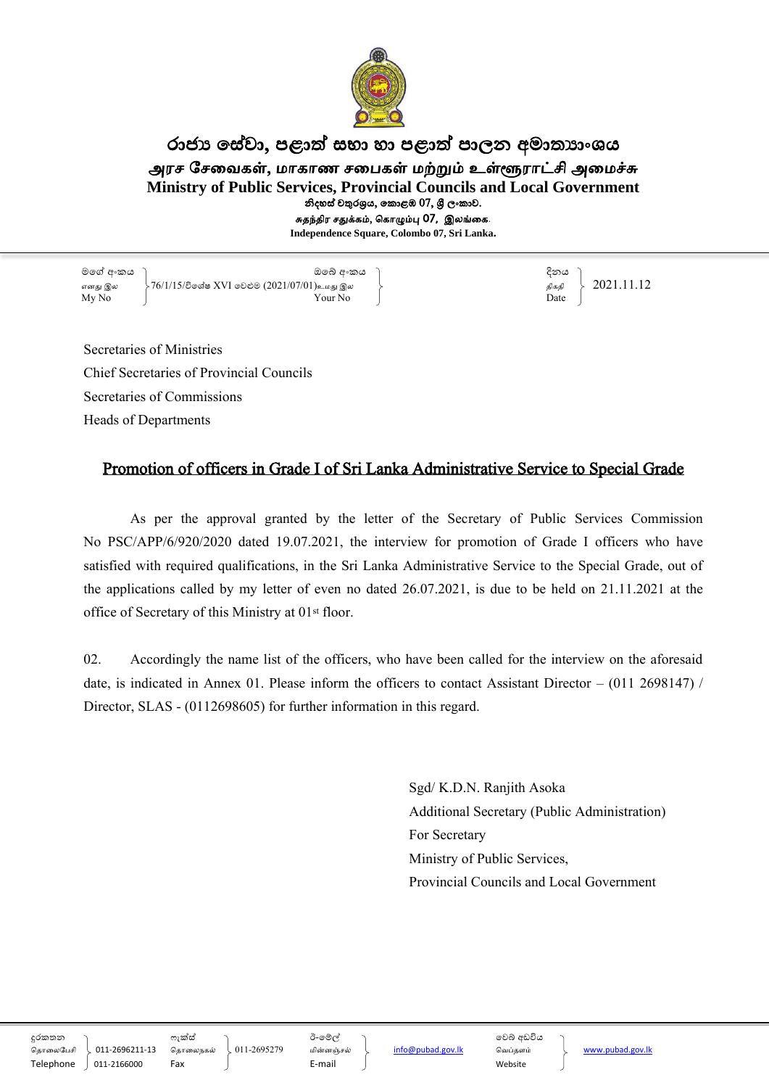

## රාජා සේවා, පළාත් සභා හා පළාත් පාලන අමාතාාංශය அரச சேவைகள், மாகாண சபைகள் மற்றும் உள்ளூராட்சி அமைச<mark>்</mark>சு **Ministry of Public Services, Provincial Councils and Local Government** නිදහස් චතුරශුය, කොළඹ 07, ශුී ලංකාව. சுதந்திர சதுக்கம், ககாழும்பு 07, இலங்வக.

**Independence Square, Colombo 07, Sri Lanka.**

මගේ අංකය ඔගේ අංකය දිනය எது இல 76/1/15/විගේ XVI ගලළුම (2021/07/01)உநது இல திகதி 2021.11.12  $\overline{My N0}$  Date

Secretaries of Ministries Chief Secretaries of Provincial Councils Secretaries of Commissions Heads of Departments

## Promotion of officers in Grade I of Sri Lanka Administrative Service to Special Grade

As per the approval granted by the letter of the Secretary of Public Services Commission No PSC/APP/6/920/2020 dated 19.07.2021, the interview for promotion of Grade I officers who have satisfied with required qualifications, in the Sri Lanka Administrative Service to the Special Grade, out of the applications called by my letter of even no dated 26.07.2021, is due to be held on 21.11.2021 at the office of Secretary of this Ministry at 01st floor.

02. Accordingly the name list of the officers, who have been called for the interview on the aforesaid date, is indicated in Annex 01. Please inform the officers to contact Assistant Director – (011 2698147) / Director, SLAS - (0112698605) for further information in this regard.

> Sgd/ K.D.N. Ranjith Asoka Additional Secretary (Public Administration) For Secretary Ministry of Public Services, Provincial Councils and Local Government

දුරකත්න සෆක්වහ ඊ-ගේල් ගලේ අඩවිය

கதாவலசசி 011-2696211-13 கதாவலகல் 011-2695279 நின்ஞ்சல் info@pubad.gov.lk கைப்தளம் www.pubad.gov.lk